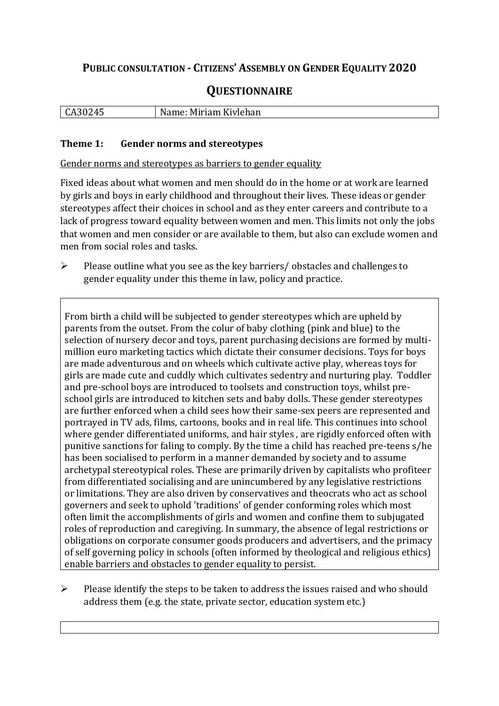## **PUBLIC CONSULTATION - CITIZENS' ASSEMBLY ON GENDER EQUALITY 2020**

# **QUESTIONNAIRE**

| LCA301<br>∟ ٍ<br>- 10 | Miriam Kivlehan<br>$\cdots$<br>N.<br>me<br>. vanie P |
|-----------------------|------------------------------------------------------|
|                       |                                                      |

#### **Theme 1: Gender norms and stereotypes**

Gender norms and stereotypes as barriers to gender equality

Fixed ideas about what women and men should do in the home or at work are learned by girls and boys in early childhood and throughout their lives. These ideas or gender stereotypes affect their choices in school and as they enter careers and contribute to a lack of progress toward equality between women and men. This limits not only the jobs that women and men consider or are available to them, but also can exclude women and men from social roles and tasks.

➢ Please outline what you see as the key barriers/ obstacles and challenges to gender equality under this theme in law, policy and practice.

From birth a child will be subjected to gender stereotypes which are upheld by parents from the outset. From the colur of baby clothing (pink and blue) to the selection of nursery decor and toys, parent purchasing decisions are formed by multimillion euro marketing tactics which dictate their consumer decisions. Toys for boys are made adventurous and on wheels which cultivate active play, whereas toys for girls are made cute and cuddly which cultivates sedentry and nurturing play. Toddler and pre-school boys are introduced to toolsets and construction toys, whilst preschool girls are introduced to kitchen sets and baby dolls. These gender stereotypes are further enforced when a child sees how their same-sex peers are represented and portrayed in TV ads, films, cartoons, books and in real life. This continues into school where gender differentiated uniforms, and hair styles , are rigidly enforced often with punitive sanctions for faling to comply. By the time a child has reached pre-teens s/he has been socialised to perform in a manner demanded by society and to assume archetypal stereotypical roles. These are primarily driven by capitalists who profiteer from differentiated socialising and are unincumbered by any legislative restrictions or limitations. They are also driven by conservatives and theocrats who act as school governers and seek to uphold 'traditions' of gender conforming roles which most often limit the accomplishments of girls and women and confine them to subjugated roles of reproduction and caregiving. In summary, the absence of legal restrictions or obligations on corporate consumer goods producers and advertisers, and the primacy of self governing policy in schools (often informed by theological and religious ethics) enable barriers and obstacles to gender equality to persist.

➢ Please identify the steps to be taken to address the issues raised and who should address them (e.g. the state, private sector, education system etc.)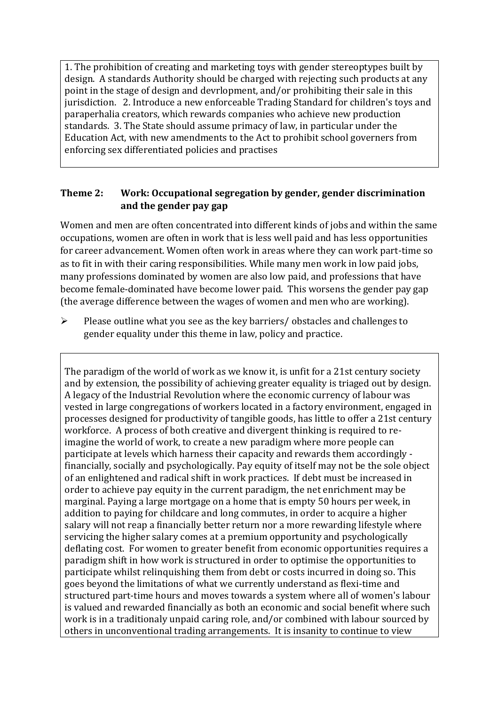1. The prohibition of creating and marketing toys with gender stereoptypes built by design. A standards Authority should be charged with rejecting such products at any point in the stage of design and devrlopment, and/or prohibiting their sale in this jurisdiction. 2. Introduce a new enforceable Trading Standard for children's toys and paraperhalia creators, which rewards companies who achieve new production standards. 3. The State should assume primacy of law, in particular under the Education Act, with new amendments to the Act to prohibit school governers from enforcing sex differentiated policies and practises

#### **Theme 2: Work: Occupational segregation by gender, gender discrimination and the gender pay gap**

Women and men are often concentrated into different kinds of jobs and within the same occupations, women are often in work that is less well paid and has less opportunities for career advancement. Women often work in areas where they can work part-time so as to fit in with their caring responsibilities. While many men work in low paid jobs, many professions dominated by women are also low paid, and professions that have become female-dominated have become lower paid. This worsens the gender pay gap (the average difference between the wages of women and men who are working).

➢ Please outline what you see as the key barriers/ obstacles and challenges to gender equality under this theme in law, policy and practice.

The paradigm of the world of work as we know it, is unfit for a 21st century society and by extension, the possibility of achieving greater equality is triaged out by design. A legacy of the Industrial Revolution where the economic currency of labour was vested in large congregations of workers located in a factory environment, engaged in processes designed for productivity of tangible goods, has little to offer a 21st century workforce. A process of both creative and divergent thinking is required to reimagine the world of work, to create a new paradigm where more people can participate at levels which harness their capacity and rewards them accordingly financially, socially and psychologically. Pay equity of itself may not be the sole object of an enlightened and radical shift in work practices. If debt must be increased in order to achieve pay equity in the current paradigm, the net enrichment may be marginal. Paying a large mortgage on a home that is empty 50 hours per week, in addition to paying for childcare and long commutes, in order to acquire a higher salary will not reap a financially better return nor a more rewarding lifestyle where servicing the higher salary comes at a premium opportunity and psychologically deflating cost. For women to greater benefit from economic opportunities requires a paradigm shift in how work is structured in order to optimise the opportunities to participate whilst relinquishing them from debt or costs incurred in doing so. This goes beyond the limitations of what we currently understand as flexi-time and structured part-time hours and moves towards a system where all of women's labour is valued and rewarded financially as both an economic and social benefit where such work is in a traditionaly unpaid caring role, and/or combined with labour sourced by others in unconventional trading arrangements. It is insanity to continue to view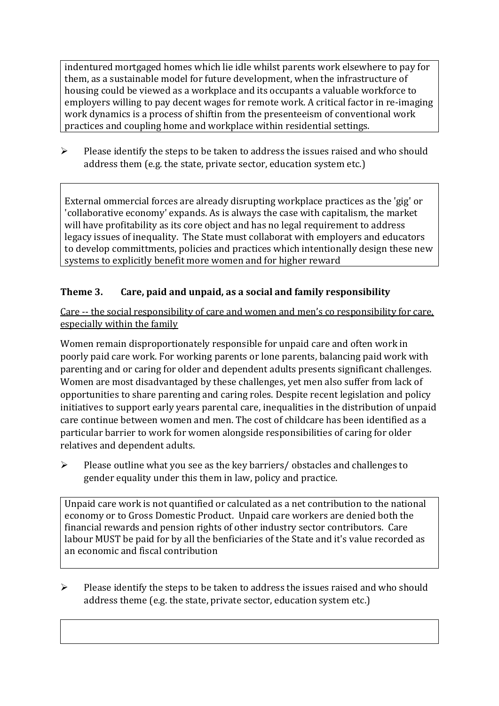indentured mortgaged homes which lie idle whilst parents work elsewhere to pay for them, as a sustainable model for future development, when the infrastructure of housing could be viewed as a workplace and its occupants a valuable workforce to employers willing to pay decent wages for remote work. A critical factor in re-imaging work dynamics is a process of shiftin from the presenteeism of conventional work practices and coupling home and workplace within residential settings.

➢ Please identify the steps to be taken to address the issues raised and who should address them (e.g. the state, private sector, education system etc.)

External ommercial forces are already disrupting workplace practices as the 'gig' or 'collaborative economy' expands. As is always the case with capitalism, the market will have profitability as its core object and has no legal requirement to address legacy issues of inequality. The State must collaborat with employers and educators to develop committments, policies and practices which intentionally design these new systems to explicitly benefit more women and for higher reward

## **Theme 3. Care, paid and unpaid, as a social and family responsibility**

Care -- the social responsibility of care and women and men's co responsibility for care, especially within the family

Women remain disproportionately responsible for unpaid care and often work in poorly paid care work. For working parents or [lone parents,](https://aran.library.nuigalway.ie/bitstream/handle/10379/6044/Millar_and_Crosse_Activation_Report.pdf?sequence=1&isAllowed=y) balancing paid work with parenting and or caring for older and dependent adults presents significant challenges. Women are [most disadvantaged by these challenges,](https://eige.europa.eu/gender-equality-index/game/IE/W) yet men also suffer from lack of opportunities to share parenting and caring roles. Despite recent legislation and policy initiatives to support early years parental care, [inequalities in the distribution of unpaid](https://www.ihrec.ie/app/uploads/2019/07/Caring-and-Unpaid-Work-in-Ireland_Final.pdf)  [care](https://www.ihrec.ie/app/uploads/2019/07/Caring-and-Unpaid-Work-in-Ireland_Final.pdf) continue between women and men. The cost of childcare has been identified as a particular barrier to work for women alongside responsibilities of caring for older relatives and dependent adults.

➢ Please outline what you see as the key barriers/ obstacles and challenges to gender equality under this them in law, policy and practice.

Unpaid care work is not quantified or calculated as a net contribution to the national economy or to Gross Domestic Product. Unpaid care workers are denied both the financial rewards and pension rights of other industry sector contributors. Care labour MUST be paid for by all the benficiaries of the State and it's value recorded as an economic and fiscal contribution

 $\triangleright$  Please identify the steps to be taken to address the issues raised and who should address theme (e.g. the state, private sector, education system etc.)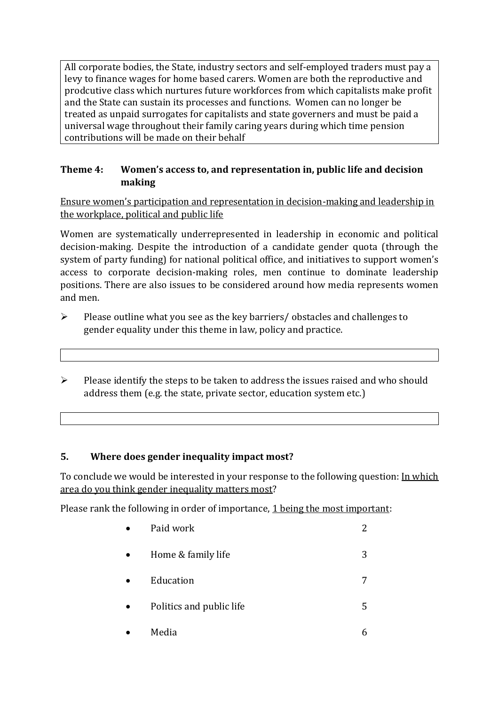All corporate bodies, the State, industry sectors and self-employed traders must pay a levy to finance wages for home based carers. Women are both the reproductive and prodcutive class which nurtures future workforces from which capitalists make profit and the State can sustain its processes and functions. Women can no longer be treated as unpaid surrogates for capitalists and state governers and must be paid a universal wage throughout their family caring years during which time pension contributions will be made on their behalf

## **Theme 4: Women's access to, and representation in, public life and decision making**

Ensure women's participation and representation in decision-making and leadership in the workplace, political and public life

Women are systematically underrepresented in leadership in [economic](https://eige.europa.eu/gender-equality-index/2019/compare-countries/power/2/bar) and [political](https://eige.europa.eu/gender-equality-index/2019/compare-countries/power/1/bar)  [decision-](https://eige.europa.eu/gender-equality-index/2019/compare-countries/power/1/bar)making. Despite the introduction of a candidate gender quota (through the system of party funding) for national political office, and [initiatives](https://betterbalance.ie/) to support women's access to corporate decision-making roles, men continue to dominate leadership positions. There are also issues to be considered around how media represents women and men.

- ➢ Please outline what you see as the key barriers/ obstacles and challenges to gender equality under this theme in law, policy and practice.
- ➢ Please identify the steps to be taken to address the issues raised and who should address them (e.g. the state, private sector, education system etc.)

## **5. Where does gender inequality impact most?**

To conclude we would be interested in your response to the following question: In which area do you think gender inequality matters most?

Please rank the following in order of importance, 1 being the most important:

| Paid work                | 2 |
|--------------------------|---|
| Home & family life       | 3 |
| Education                | 7 |
| Politics and public life | 5 |
| Media                    | 6 |